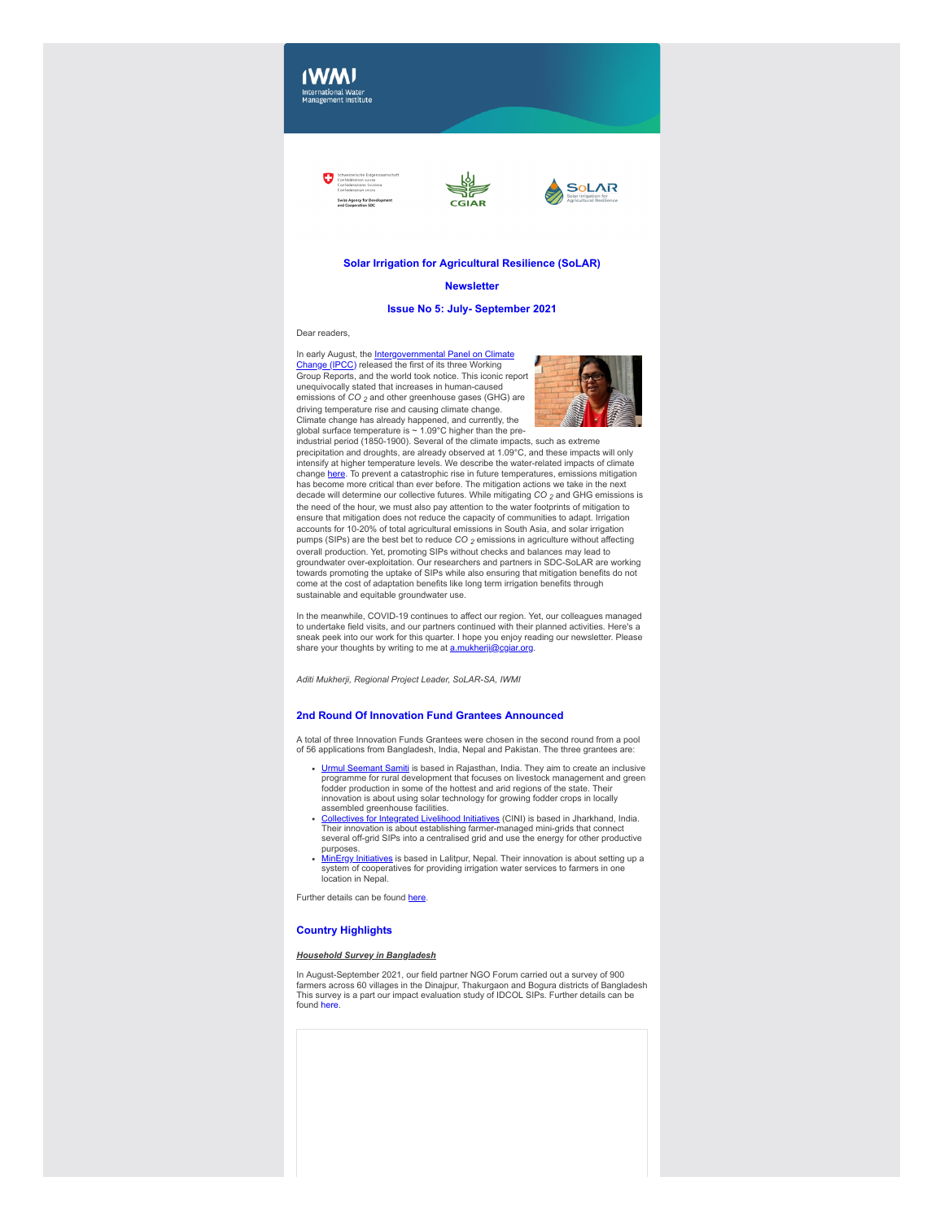# **IWMI** International Water<br>Management Institute

**Swiss Agency for Dev** 



# **Solar Irrigation for Agricultural Resilience (SoLAR)**

**CGIAR** 

#### **Newsletter**

# **Issue No 5: July- September 2021**

Dear readers,

[In early August, the Intergovernmental Panel on Climate](https://clt1364917.bmetrack.com/c/l?u=CE92761&e=12F0B9F&c=14D3B5&t=1&email=rCl6ZXzNdYXAlaa8rt3zZVChLVqEDDIg&seq=1) Change (IPCC) released the first of its three Working Group Reports, and the world took notice. This iconic report unequivocally stated that increases in human-caused emissions of *CO 2* and other greenhouse gases (GHG) are driving temperature rise and causing climate change. Climate change has already happened, and currently, the global surface temperature is ~ 1.09°C higher than the pre-



industrial period (1850-1900). Several of the climate impacts, such as extreme precipitation and droughts, are already observed at 1.09°C, and these impacts will only intensify at higher temperature levels. We describe the water-related impacts of climate change <u>[here](https://clt1364917.bmetrack.com/c/l?u=CE92762&e=12F0B9F&c=14D3B5&t=1&email=rCl6ZXzNdYXAlaa8rt3zZVChLVqEDDIg&seq=1)</u>. To prevent a catastrophic rise in future temperatures, emissions mitigation<br>has become more critical than ever before. The mitigation actions we take in the next decade will determine our collective futures. While mitigating *CO 2* and GHG emissions is the need of the hour, we must also pay attention to the water footprints of mitigation to ensure that mitigation does not reduce the capacity of communities to adapt. Irrigation accounts for 10-20% of total agricultural emissions in South Asia, and solar irrigation pumps (SIPs) are the best bet to reduce *CO 2* emissions in agriculture without affecting overall production. Yet, promoting SIPs without checks and balances may lead to groundwater over-exploitation. Our researchers and partners in SDC-SoLAR are working towards promoting the uptake of SIPs while also ensuring that mitigation benefits do not come at the cost of adaptation benefits like long term irrigation benefits through sustainable and equitable groundwater use.

In the meanwhile, COVID-19 continues to affect our region. Yet, our colleagues managed to undertake field visits, and our partners continued with their planned activities. Here's a sneak peek into our work for this quarter. I hope you enjoy reading our newsletter. Please share your thoughts by writing to me at [a.mukherji@cgiar.org](mailto:%3ca.mukherji@cgiar.org).

*Aditi Mukherji, Regional Project Leader, SoLAR-SA, IWMI*

#### **2nd Round Of Innovation Fund Grantees Announced**

A total of three Innovation Funds Grantees were chosen in the second round from a pool of 56 applications from Bangladesh, India, Nepal and Pakistan. The three grantees are:

- <u>[Urmul Seemant Samiti](https://clt1364917.bmetrack.com/c/l?u=CDF411C&e=12F0B9F&c=14D3B5&t=1&l=497D14F&email=pxrJDy%2FqPA%2BIIbZOJ69GB3zXEaHTtGcN&seq=1)</u> is based in Rajasthan, India. They aim to create an inclusive<br>programme for rural development that focuses on livestock management and green fodder production in some of the hottest and arid regions of the state. Their innovation is about using solar technology for growing fodder crops in locally<br>assembled greenhouse facilities.<br><u>[Collectives for Integrated Livelihood Initiatives](https://clt1364917.bmetrack.com/c/l?u=CDF411D&e=12F0B9F&c=14D3B5&t=1&l=497D14F&email=pxrJDy%2FqPA%2BIIbZOJ69GB3zXEaHTtGcN&seq=1)</u> (CINI) is based in Jharkhand, India.
- Their innovation is about establishing farmer-managed mini-grids that connect several off-grid SIPs into a centralised grid and use the energy for other productive purposes.
- [MinErgy Initiatives](https://clt1364917.bmetrack.com/c/l?u=CDF411E&e=12F0B9F&c=14D3B5&t=1&l=497D14F&email=pxrJDy%2FqPA%2BIIbZOJ69GB3zXEaHTtGcN&seq=1) is based in Lalitpur, Nepal. Their innovation is about setting up a system of cooperatives for providing irrigation water services to farmers in one location in Nepal.

Further details can be found [here](https://clt1364917.bmetrack.com/c/l?u=CE56A93&e=12F0B9F&c=14D3B5&t=1&l=497D14F&email=pxrJDy%2FqPA%2BIIbZOJ69GB3zXEaHTtGcN&seq=1).

# **Country Highlights**

#### *Household Survey in Bangladesh*

In August-September 2021, our field partner NGO Forum carried out a survey of 900 farmers across 60 villages in the Dinajpur, Thakurgaon and Bogura districts of Bangladesh This survey is a part our impact evaluation study of IDCOL SIPs. Further details can be found here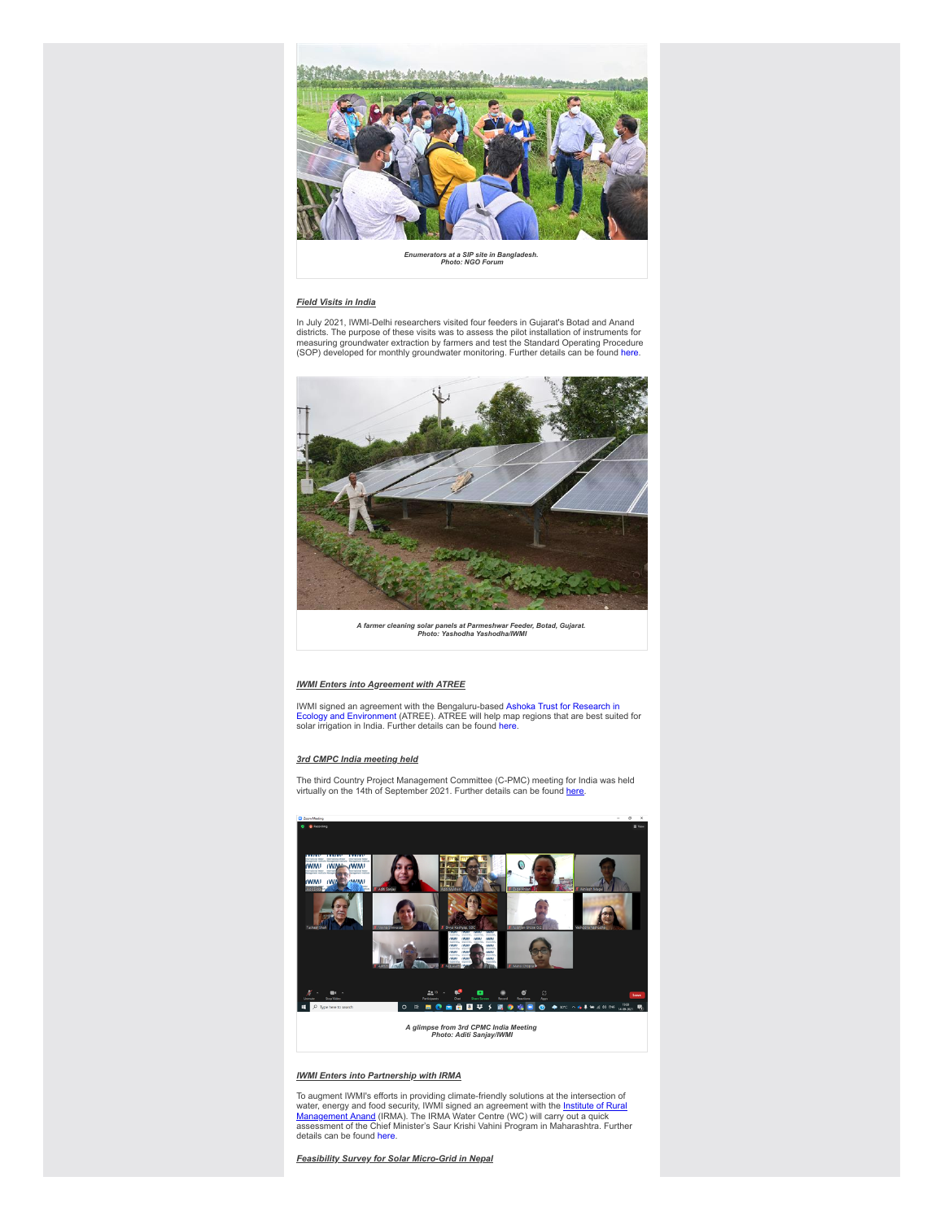

*Enumerators at a SIP site in Bangladesh. Photo: NGO Forum*

### *Field Visits in India*

In July 2021, IWMI-Delhi researchers visited four feeders in Gujarat's Botad and Anand districts. The purpose of these visits was to assess the pilot installation of instruments for measuring groundwater extraction by farmers and test the Standard Operating Procedure (SOP) developed for monthly groundwater monitoring. Further details can be found [here.](https://clt1364917.bmetrack.com/c/l?u=CB7C3E0&e=12F0B9F&c=14D3B5&t=1&email=rCl6ZXzNdYXAlaa8rt3zZVChLVqEDDIg&seq=1)



*A farmer cleaning solar panels at Parmeshwar Feeder, Botad, Gujarat. Photo: Yashodha Yashodha/IWMI*

# *IWMI Enters into Agreement with ATREE*

[IWMI signed an agreement with the Bengaluru-based Ashoka Trust for Research in](https://clt1364917.bmetrack.com/c/l?u=CDF411B&e=12F0B9F&c=14D3B5&t=1&email=rCl6ZXzNdYXAlaa8rt3zZVChLVqEDDIg&seq=1)<br>Ecology and Environment (ATREE). ATREE will help map regions that are best suited for<br>solar irrigation in India. Further details can be found h

#### *3rd CMPC India meeting held*

The third Country Project Management Committee (C-PMC) meeting for India was held<br>virtually on the 14th of September 2021. Further details can be found <u>here</u>.



*A glimpse from 3rd CPMC India Meeting Photo: Aditi Sanjay/IWMI*

#### *IWMI Enters into Partnership with IRMA*

To augment IWMI's efforts in providing climate-friendly solutions at the intersection of water, energy and food security, IWMI signed an agreement with the <u>Institute of Rural</u><br>Management Anand (IRMA). The IRMA Water Centr

*Feasibility Survey for Solar Micro-Grid in Nepal*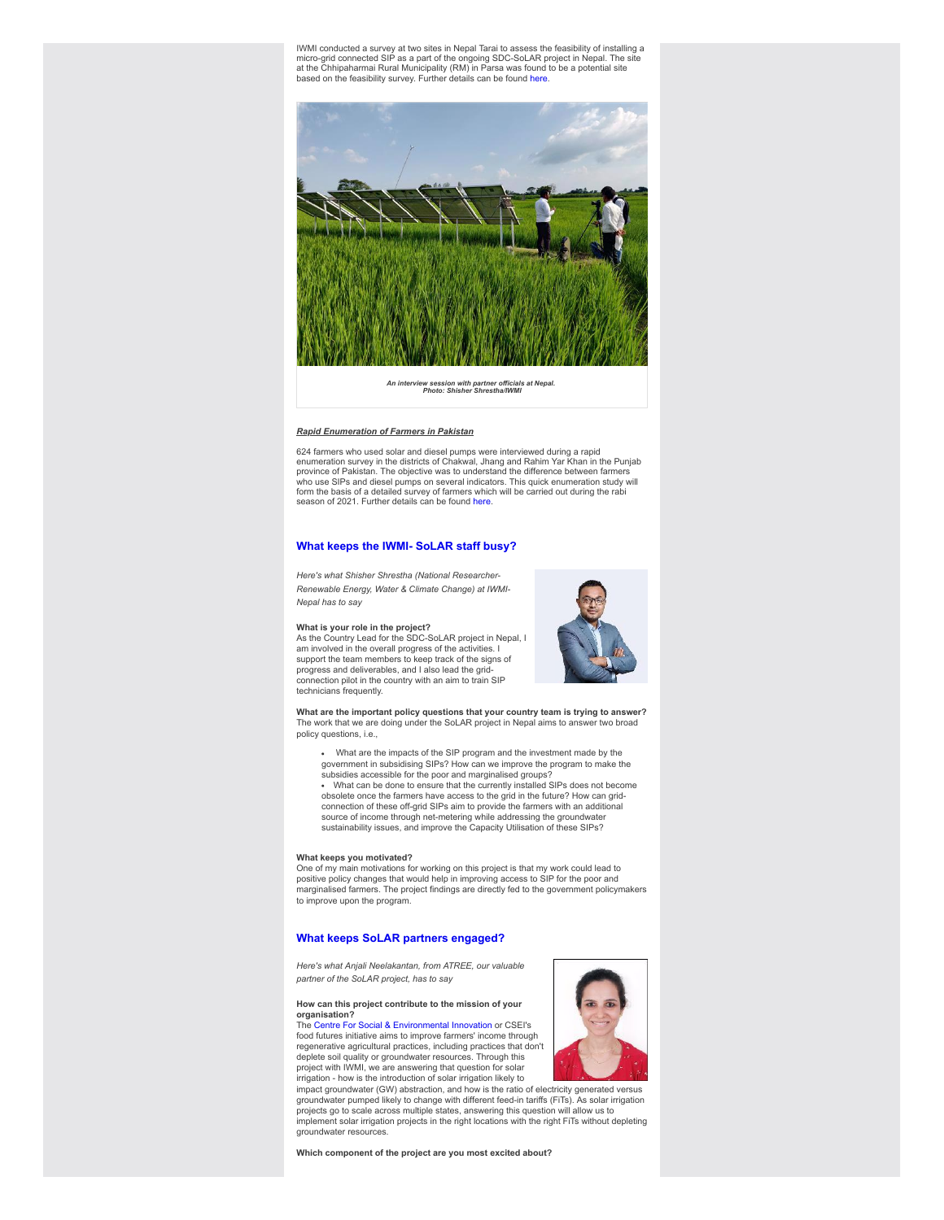IWMI conducted a survey at two sites in Nepal Tarai to assess the feasibility of installing a micro-grid connected SIP as a part of the ongoing SDC-SoLAR project in Nepal. The site at the Chhipaharmai Rural Municipality (RM) in Parsa was found to be a potential site<br>based on the feasibility survey. Further details can be found [here.](https://clt1364917.bmetrack.com/c/l?u=CB7C3E3&e=12F0B9F&c=14D3B5&t=1&email=rCl6ZXzNdYXAlaa8rt3zZVChLVqEDDIg&seq=1)



*An interview session with partner officials at Nepal. Photo: Shisher Shrestha/IWMI*

## *Rapid Enumeration of Farmers in Pakistan*

624 farmers who used solar and diesel pumps were interviewed during a rapid enumeration survey in the districts of Chakwal, Jhang and Rahim Yar Khan in the Punjab province of Pakistan. The objective was to understand the difference between farmers who use SIPs and diesel pumps on several indicators. This quick enumeration study will form the basis of a detailed survey of farmers which will be carried out during the rabi season of 2021. Further details can be found [here.](https://clt1364917.bmetrack.com/c/l?u=CE566DC&e=12F0B9F&c=14D3B5&t=1&email=rCl6ZXzNdYXAlaa8rt3zZVChLVqEDDIg&seq=1)

#### **What keeps the IWMI- SoLAR staff busy?**

*Here's what Shisher Shrestha (National Researcher-Renewable Energy, Water & Climate Change) at IWMI-Nepal has to say*

#### **What is your role in the project?**

As the Country Lead for the SDC-SoLAR project in Nepal, I am involved in the overall progress of the activities. I support the team members to keep track of the signs of progress and deliverables, and I also lead the gridconnection pilot in the country with an aim to train SIP technicians frequently



**What are the important policy questions that your country team is trying to answer?** The work that we are doing under the SoLAR project in Nepal aims to answer two broad policy questions, i.e.,

- What are the impacts of the SIP program and the investment made by the government in subsidising SIPs? How can we improve the program to make the subsidies accessible for the poor and marginalised groups? What can be done to ensure that the currently installed SIPs does not become
- obsolete once the farmers have access to the grid in the future? How can gridconnection of these off-grid SIPs aim to provide the farmers with an additional source of income through net-metering while addressing the groundwater sustainability issues, and improve the Capacity Utilisation of these SIPs?

# **What keeps you motivated?**

One of my main motivations for working on this project is that my work could lead to positive policy changes that would help in improving access to SIP for the poor and marginalised farmers. The project findings are directly fed to the government policymakers to improve upon the program.

# **What keeps SoLAR partners engaged?**

*Here's what Anjali Neelakantan, from ATREE, our valuable partner of the SoLAR project, has to say*

#### **How can this project contribute to the mission of your organisation?**

The [Centre For Social & Environmental Innovation](https://clt1364917.bmetrack.com/c/l?u=CE92763&e=12F0B9F&c=14D3B5&t=1&email=rCl6ZXzNdYXAlaa8rt3zZVChLVqEDDIg&seq=1) or CSEI's food futures initiative aims to improve farmers' income through regenerative agricultural practices, including practices that don't deplete soil quality or groundwater resources. Through this project with IWMI, we are answering that question for solar irrigation - how is the introduction of solar irrigation likely to



impact groundwater (GW) abstraction, and how is the ratio of electricity generated versus groundwater pumped likely to change with different feed-in tariffs (FiTs). As solar irrigation projects go to scale across multiple states, answering this question will allow us to implement solar irrigation projects in the right locations with the right FiTs without depleting groundwater resources.

**Which component of the project are you most excited about?**